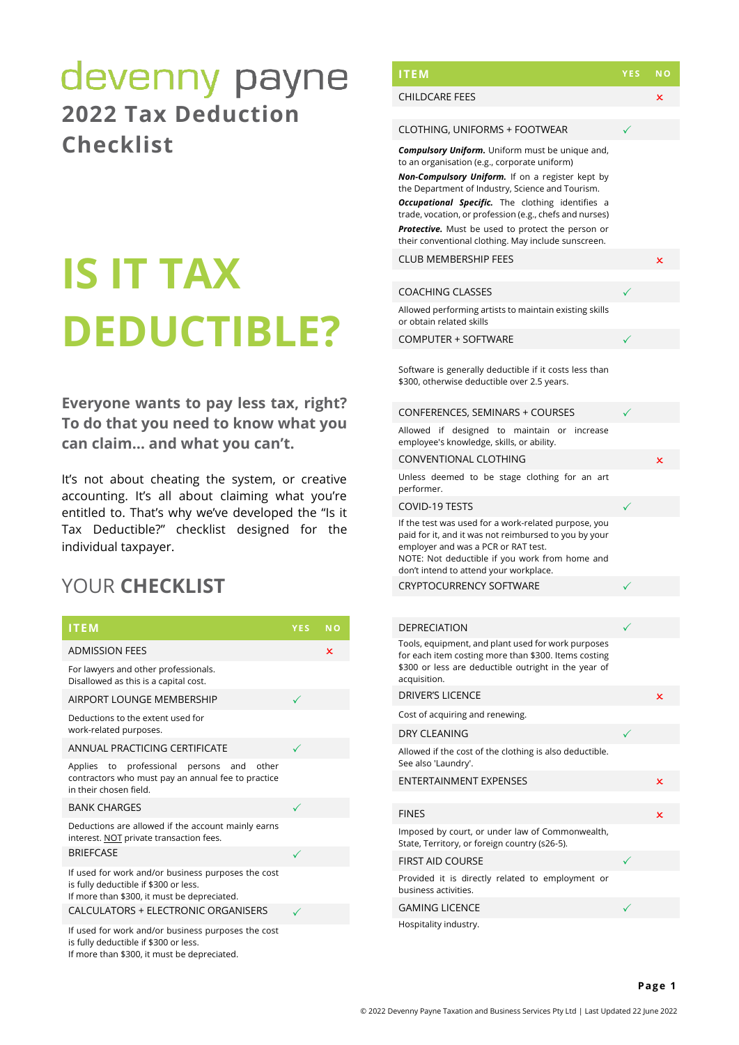## devenny payne **2022 Tax Deduction Checklist**

# **IS IT TAX DEDUCTIBLE?**

**Everyone wants to pay less tax, right? To do that you need to know what you can claim… and what you can't.**

It's not about cheating the system, or creative accounting. It's all about claiming what you're entitled to. That's why we've developed the "Is it Tax Deductible?" checklist designed for the individual taxpayer.

## YOUR **CHECKLIST**

| <b>ITEM</b>                                                                                                                                | YES. | <b>NO</b> |
|--------------------------------------------------------------------------------------------------------------------------------------------|------|-----------|
| <b>ADMISSION FEES</b>                                                                                                                      |      | ×         |
| For lawyers and other professionals.<br>Disallowed as this is a capital cost.                                                              |      |           |
| AIRPORT LOUNGE MEMBERSHIP                                                                                                                  | ✓    |           |
| Deductions to the extent used for<br>work-related purposes.                                                                                |      |           |
| ANNUAL PRACTICING CERTIFICATE                                                                                                              | ✓    |           |
| Applies to professional persons and<br>other<br>contractors who must pay an annual fee to practice<br>in their chosen field.               |      |           |
| <b>BANK CHARGES</b>                                                                                                                        | ✓    |           |
| Deductions are allowed if the account mainly earns<br>interest. NOT private transaction fees.                                              |      |           |
| <b>BRIEFCASE</b>                                                                                                                           | ✓    |           |
| If used for work and/or business purposes the cost<br>is fully deductible if \$300 or less.<br>If more than \$300, it must be depreciated. |      |           |
| CALCULATORS + ELECTRONIC ORGANISERS                                                                                                        | ✓    |           |
| If used for work and/or business purposes the cost<br>is fully deductible if \$300 or less.<br>If more than \$300, it must be depreciated. |      |           |

| <b>ITEM</b>                                                                                                                                                                                                                                                                                                                                                                                                                                      | <b>YES</b> | N <sub>O</sub> |
|--------------------------------------------------------------------------------------------------------------------------------------------------------------------------------------------------------------------------------------------------------------------------------------------------------------------------------------------------------------------------------------------------------------------------------------------------|------------|----------------|
| <b>CHILDCARE FEES</b>                                                                                                                                                                                                                                                                                                                                                                                                                            |            | ×              |
| CLOTHING, UNIFORMS + FOOTWEAR                                                                                                                                                                                                                                                                                                                                                                                                                    |            |                |
| <b>Compulsory Uniform.</b> Uniform must be unique and,<br>to an organisation (e.g., corporate uniform)<br>Non-Compulsory Uniform. If on a register kept by<br>the Department of Industry, Science and Tourism.<br><b>Occupational Specific.</b> The clothing identifies a<br>trade, vocation, or profession (e.g., chefs and nurses)<br>Protective. Must be used to protect the person or<br>their conventional clothing. May include sunscreen. |            |                |
| <b>CLUB MEMBERSHIP FEES</b>                                                                                                                                                                                                                                                                                                                                                                                                                      |            | ×              |
| <b>COACHING CLASSES</b>                                                                                                                                                                                                                                                                                                                                                                                                                          | ✓          |                |
| Allowed performing artists to maintain existing skills<br>or obtain related skills                                                                                                                                                                                                                                                                                                                                                               |            |                |
| <b>COMPUTER + SOFTWARE</b>                                                                                                                                                                                                                                                                                                                                                                                                                       |            |                |
| Software is generally deductible if it costs less than<br>\$300, otherwise deductible over 2.5 years.                                                                                                                                                                                                                                                                                                                                            |            |                |
| CONFERENCES, SEMINARS + COURSES                                                                                                                                                                                                                                                                                                                                                                                                                  |            |                |
| Allowed if designed to maintain or increase<br>employee's knowledge, skills, or ability.                                                                                                                                                                                                                                                                                                                                                         |            |                |
| CONVENTIONAL CLOTHING                                                                                                                                                                                                                                                                                                                                                                                                                            |            | x              |
| Unless deemed to be stage clothing for an art<br>performer.                                                                                                                                                                                                                                                                                                                                                                                      |            |                |
| <b>COVID-19 TESTS</b>                                                                                                                                                                                                                                                                                                                                                                                                                            |            |                |
| If the test was used for a work-related purpose, you<br>paid for it, and it was not reimbursed to you by your<br>employer and was a PCR or RAT test.<br>NOTE: Not deductible if you work from home and<br>don't intend to attend your workplace.                                                                                                                                                                                                 |            |                |
| <b>CRYPTOCURRENCY SOFTWARE</b>                                                                                                                                                                                                                                                                                                                                                                                                                   |            |                |
|                                                                                                                                                                                                                                                                                                                                                                                                                                                  |            |                |
| <b>DEPRECIATION</b>                                                                                                                                                                                                                                                                                                                                                                                                                              |            |                |
| Tools, equipment, and plant used for work purposes<br>for each item costing more than \$300. Items costing<br>\$300 or less are deductible outright in the year of<br>acquisition.                                                                                                                                                                                                                                                               |            |                |
| <b>DRIVER'S LICENCE</b>                                                                                                                                                                                                                                                                                                                                                                                                                          |            | ×              |
| Cost of acquiring and renewing.                                                                                                                                                                                                                                                                                                                                                                                                                  |            |                |
| DRY CLEANING                                                                                                                                                                                                                                                                                                                                                                                                                                     |            |                |
| Allowed if the cost of the clothing is also deductible.<br>See also 'Laundry'.                                                                                                                                                                                                                                                                                                                                                                   |            |                |
| <b>ENTERTAINMENT EXPENSES</b>                                                                                                                                                                                                                                                                                                                                                                                                                    |            | ×              |
| <b>FINES</b>                                                                                                                                                                                                                                                                                                                                                                                                                                     |            | ×              |
| Imposed by court, or under law of Commonwealth,<br>State, Territory, or foreign country (s26-5).                                                                                                                                                                                                                                                                                                                                                 |            |                |
| <b>FIRST AID COURSE</b>                                                                                                                                                                                                                                                                                                                                                                                                                          |            |                |
| Provided it is directly related to employment or<br>business activities.                                                                                                                                                                                                                                                                                                                                                                         |            |                |
| <b>GAMING LICENCE</b>                                                                                                                                                                                                                                                                                                                                                                                                                            |            |                |
| Hospitality industry.                                                                                                                                                                                                                                                                                                                                                                                                                            |            |                |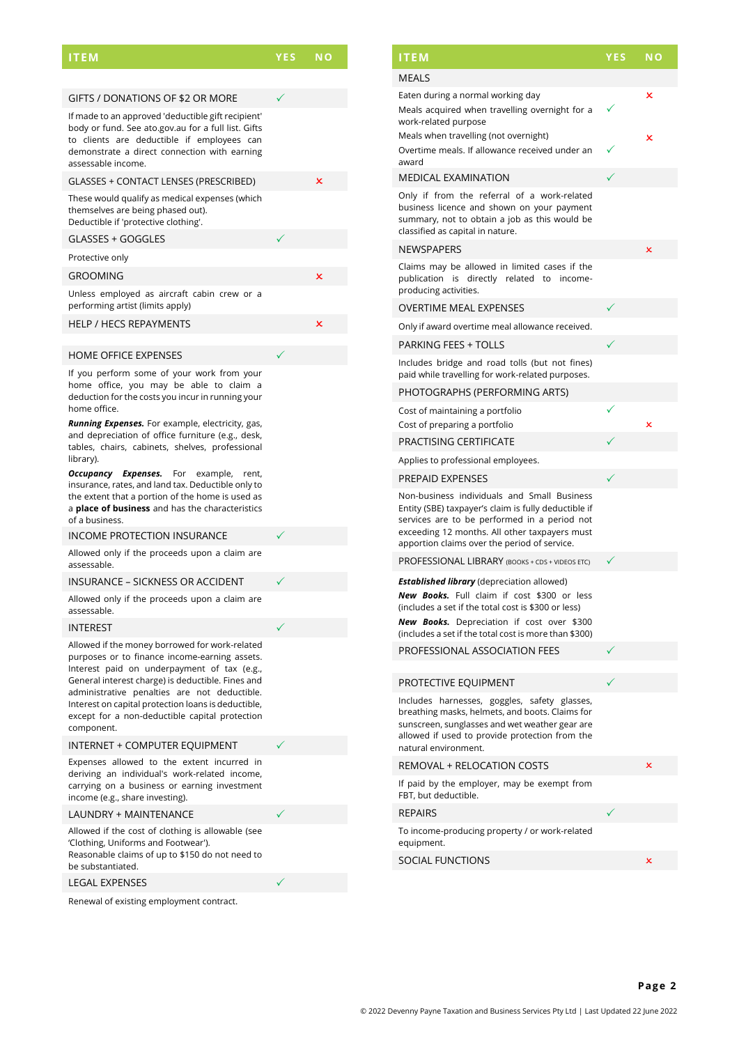### **ITEM YES NO**

| GIFTS / DONATIONS OF \$2 OR MORE                                                                                                                                                                                                                                                                                                                                           |   |
|----------------------------------------------------------------------------------------------------------------------------------------------------------------------------------------------------------------------------------------------------------------------------------------------------------------------------------------------------------------------------|---|
| If made to an approved 'deductible gift recipient'<br>body or fund. See ato.gov.au for a full list. Gifts<br>to clients are deductible if employees can<br>demonstrate a direct connection with earning<br>assessable income.                                                                                                                                              |   |
| GLASSES + CONTACT LENSES (PRESCRIBED)                                                                                                                                                                                                                                                                                                                                      | × |
| These would qualify as medical expenses (which<br>themselves are being phased out).<br>Deductible if 'protective clothing'.                                                                                                                                                                                                                                                |   |
| GLASSES + GOGGLES                                                                                                                                                                                                                                                                                                                                                          |   |
| Protective only                                                                                                                                                                                                                                                                                                                                                            |   |
| <b>GROOMING</b>                                                                                                                                                                                                                                                                                                                                                            | × |
| Unless employed as aircraft cabin crew or a<br>performing artist (limits apply)                                                                                                                                                                                                                                                                                            |   |
| <b>HELP / HECS REPAYMENTS</b>                                                                                                                                                                                                                                                                                                                                              | × |
|                                                                                                                                                                                                                                                                                                                                                                            |   |
| <b>HOME OFFICE EXPENSES</b>                                                                                                                                                                                                                                                                                                                                                |   |
| If you perform some of your work from your<br>home office, you may be able to claim a<br>deduction for the costs you incur in running your<br>home office.<br><b>Running Expenses.</b> For example, electricity, gas,<br>and depreciation of office furniture (e.g., desk,<br>tables, chairs, cabinets, shelves, professional                                              |   |
| library).                                                                                                                                                                                                                                                                                                                                                                  |   |
| Occupancy Expenses.<br>For example,<br>rent,<br>insurance, rates, and land tax. Deductible only to<br>the extent that a portion of the home is used as<br>a <b>place of business</b> and has the characteristics<br>of a business.                                                                                                                                         |   |
| <b>INCOME PROTECTION INSURANCE</b>                                                                                                                                                                                                                                                                                                                                         |   |
| Allowed only if the proceeds upon a claim are<br>assessable.                                                                                                                                                                                                                                                                                                               |   |
| <b>INSURANCE - SICKNESS OR ACCIDENT</b>                                                                                                                                                                                                                                                                                                                                    |   |
| Allowed only if the proceeds upon a claim are<br>assessable.                                                                                                                                                                                                                                                                                                               |   |
| <b>INTEREST</b>                                                                                                                                                                                                                                                                                                                                                            |   |
| Allowed if the money borrowed for work-related<br>purposes or to finance income-earning assets.<br>Interest paid on underpayment of tax (e.g.,<br>General interest charge) is deductible. Fines and<br>administrative penalties are not deductible.<br>Interest on capital protection loans is deductible,<br>except for a non-deductible capital protection<br>component. |   |
| INTERNET + COMPUTER EQUIPMENT                                                                                                                                                                                                                                                                                                                                              |   |
| Expenses allowed to the extent incurred in<br>deriving an individual's work-related income,<br>carrying on a business or earning investment<br>income (e.g., share investing).                                                                                                                                                                                             |   |
| <b>LAUNDRY + MAINTENANCE</b>                                                                                                                                                                                                                                                                                                                                               |   |
| Allowed if the cost of clothing is allowable (see<br>'Clothing Uniforms and Footwear').                                                                                                                                                                                                                                                                                    |   |

'Clothing, Uniforms and Footwear'). Reasonable claims of up to \$150 do not need to be substantiated.

#### LEGAL EXPENSES

Renewal of existing employment contract.

| <b>ITEM</b>                                                                                                                                                                                                                                                           | <b>YES</b> | <b>NO</b> |
|-----------------------------------------------------------------------------------------------------------------------------------------------------------------------------------------------------------------------------------------------------------------------|------------|-----------|
| <b>MEALS</b>                                                                                                                                                                                                                                                          |            |           |
| Eaten during a normal working day                                                                                                                                                                                                                                     |            | ×         |
| Meals acquired when travelling overnight for a<br>work-related purpose                                                                                                                                                                                                |            |           |
| Meals when travelling (not overnight)<br>Overtime meals. If allowance received under an                                                                                                                                                                               |            | ×         |
| award<br><b>MEDICAL EXAMINATION</b>                                                                                                                                                                                                                                   | ✓          |           |
| Only if from the referral of a work-related<br>business licence and shown on your payment<br>summary, not to obtain a job as this would be<br>classified as capital in nature.                                                                                        |            |           |
| NEWSPAPERS                                                                                                                                                                                                                                                            |            | ×         |
| Claims may be allowed in limited cases if the<br>publication is directly related to income-<br>producing activities.                                                                                                                                                  |            |           |
| <b>OVERTIME MEAL EXPENSES</b>                                                                                                                                                                                                                                         |            |           |
| Only if award overtime meal allowance received.                                                                                                                                                                                                                       |            |           |
| <b>PARKING FEES + TOLLS</b>                                                                                                                                                                                                                                           |            |           |
| Includes bridge and road tolls (but not fines)<br>paid while travelling for work-related purposes.                                                                                                                                                                    |            |           |
| PHOTOGRAPHS (PERFORMING ARTS)                                                                                                                                                                                                                                         |            |           |
| Cost of maintaining a portfolio                                                                                                                                                                                                                                       |            |           |
| Cost of preparing a portfolio                                                                                                                                                                                                                                         |            | ×         |
| PRACTISING CERTIFICATE                                                                                                                                                                                                                                                |            |           |
| Applies to professional employees.                                                                                                                                                                                                                                    |            |           |
| <b>PREPAID EXPENSES</b>                                                                                                                                                                                                                                               |            |           |
| Non-business individuals and Small Business<br>Entity (SBE) taxpayer's claim is fully deductible if<br>services are to be performed in a period not<br>exceeding 12 months. All other taxpayers must<br>apportion claims over the period of service.                  |            |           |
| PROFESSIONAL LIBRARY (BOOKS + CDS + VIDEOS ETC)                                                                                                                                                                                                                       |            |           |
| <b>Established library</b> (depreciation allowed)<br>New Books. Full claim if cost \$300 or less<br>(includes a set if the total cost is \$300 or less)<br><b>New Books.</b> Depreciation if cost over \$300<br>(includes a set if the total cost is more than \$300) |            |           |
| PROFESSIONAL ASSOCIATION FEES                                                                                                                                                                                                                                         |            |           |
|                                                                                                                                                                                                                                                                       |            |           |
| PROTECTIVE EQUIPMENT                                                                                                                                                                                                                                                  |            |           |
| Includes harnesses, goggles, safety glasses,<br>breathing masks, helmets, and boots. Claims for<br>sunscreen, sunglasses and wet weather gear are<br>allowed if used to provide protection from the<br>natural environment.                                           |            |           |
| <b>REMOVAL + RELOCATION COSTS</b>                                                                                                                                                                                                                                     |            | ×         |
| If paid by the employer, may be exempt from<br>FBT, but deductible.                                                                                                                                                                                                   |            |           |
| <b>REPAIRS</b>                                                                                                                                                                                                                                                        |            |           |
| To income-producing property / or work-related<br>equipment.                                                                                                                                                                                                          |            |           |
| <b>SOCIAL FUNCTIONS</b>                                                                                                                                                                                                                                               |            | ×         |